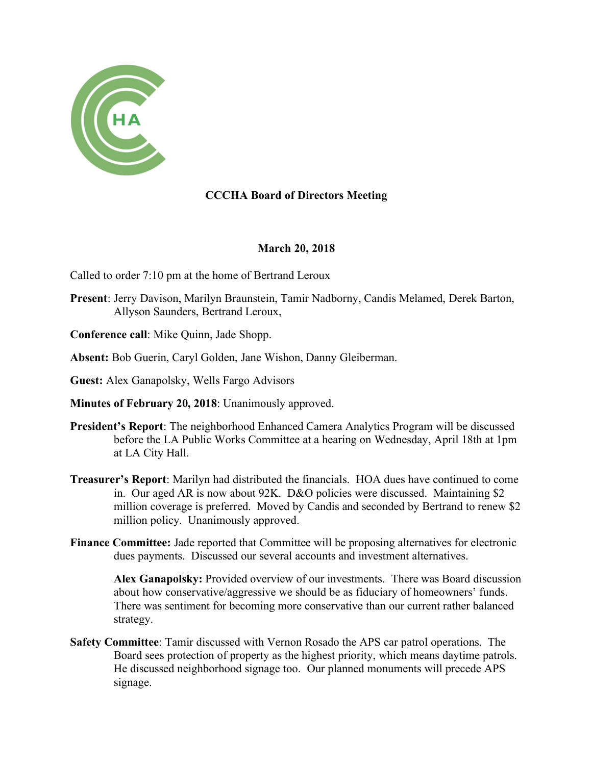

## **CCCHA Board of Directors Meeting**

## **March 20, 2018**

Called to order 7:10 pm at the home of Bertrand Leroux

- **Present**: Jerry Davison, Marilyn Braunstein, Tamir Nadborny, Candis Melamed, Derek Barton, Allyson Saunders, Bertrand Leroux,
- **Conference call**: Mike Quinn, Jade Shopp.
- **Absent:** Bob Guerin, Caryl Golden, Jane Wishon, Danny Gleiberman.
- **Guest:** Alex Ganapolsky, Wells Fargo Advisors
- **Minutes of February 20, 2018**: Unanimously approved.
- **President's Report**: The neighborhood Enhanced Camera Analytics Program will be discussed before the LA Public Works Committee at a hearing on Wednesday, April 18th at 1pm at LA City Hall.
- **Treasurer's Report**: Marilyn had distributed the financials. HOA dues have continued to come in. Our aged AR is now about 92K. D&O policies were discussed. Maintaining \$2 million coverage is preferred. Moved by Candis and seconded by Bertrand to renew \$2 million policy. Unanimously approved.
- **Finance Committee:** Jade reported that Committee will be proposing alternatives for electronic dues payments. Discussed our several accounts and investment alternatives.

**Alex Ganapolsky:** Provided overview of our investments. There was Board discussion about how conservative/aggressive we should be as fiduciary of homeowners' funds. There was sentiment for becoming more conservative than our current rather balanced strategy.

**Safety Committee**: Tamir discussed with Vernon Rosado the APS car patrol operations. The Board sees protection of property as the highest priority, which means daytime patrols. He discussed neighborhood signage too. Our planned monuments will precede APS signage.